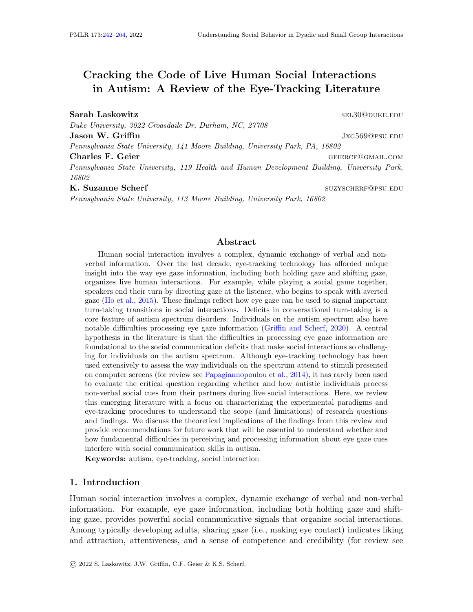# <span id="page-0-0"></span>Cracking the Code of Live Human Social Interactions in Autism: A Review of the Eye-Tracking Literature

Sarah Laskowitz selated by the self-contract of the self-contract of the self-contract of the self-contract of the self-contract of the self-contract of the self-contract of the self-contract of the self-contract of the se

Duke University, 3022 Croasdaile Dr, Durham, NC, 27708 **Jason W. Griffin Jason W. Griffin** Pennsylvania State University, 141 Moore Building, University Park, PA, 16802 Charles F. Geier Germany Charles F. Geier Germany Charles F. Geier Pennsylvania State University, 119 Health and Human Development Building, University Park, 16802 K. Suzanne Scherf suzyscherf suzyscherf suzyscherf@psu.edu

Pennsylvania State University, 113 Moore Building, University Park, 16802

Abstract

Human social interaction involves a complex, dynamic exchange of verbal and nonverbal information. Over the last decade, eye-tracking technology has afforded unique insight into the way eye gaze information, including both holding gaze and shifting gaze, organizes live human interactions. For example, while playing a social game together, speakers end their turn by directing gaze at the listener, who begins to speak with averted gaze [\(Ho et al.,](#page-19-0) [2015\)](#page-19-0). These findings reflect how eye gaze can be used to signal important turn-taking transitions in social interactions. Deficits in conversational turn-taking is a core feature of autism spectrum disorders. Individuals on the autism spectrum also have notable difficulties processing eye gaze information [\(Griffin and Scherf,](#page-19-1) [2020\)](#page-19-1). A central hypothesis in the literature is that the difficulties in processing eye gaze information are foundational to the social communication deficits that make social interactions so challenging for individuals on the autism spectrum. Although eye-tracking technology has been used extensively to assess the way individuals on the spectrum attend to stimuli presented on computer screens (for review see [Papagiannopoulou et al.,](#page-21-0) [2014\)](#page-21-0), it has rarely been used to evaluate the critical question regarding whether and how autistic individuals process non-verbal social cues from their partners during live social interactions. Here, we review this emerging literature with a focus on characterizing the experimental paradigms and eye-tracking procedures to understand the scope (and limitations) of research questions and findings. We discuss the theoretical implications of the findings from this review and provide recommendations for future work that will be essential to understand whether and how fundamental difficulties in perceiving and processing information about eye gaze cues interfere with social communication skills in autism.

Keywords: autism, eye-tracking, social interaction

### 1. Introduction

Human social interaction involves a complex, dynamic exchange of verbal and non-verbal information. For example, eye gaze information, including both holding gaze and shifting gaze, provides powerful social communicative signals that organize social interactions. Among typically developing adults, sharing gaze (i.e., making eye contact) indicates liking and attraction, attentiveness, and a sense of competence and credibility (for review see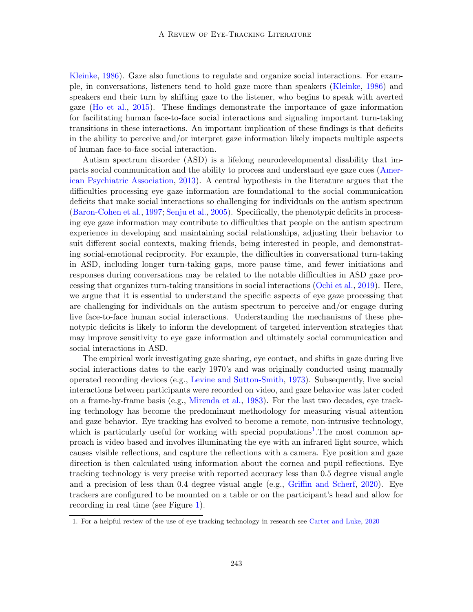[Kleinke,](#page-20-0) [1986\)](#page-20-0). Gaze also functions to regulate and organize social interactions. For example, in conversations, listeners tend to hold gaze more than speakers [\(Kleinke,](#page-20-0) [1986\)](#page-20-0) and speakers end their turn by shifting gaze to the listener, who begins to speak with averted gaze [\(Ho et al.,](#page-19-0) [2015\)](#page-19-0). These findings demonstrate the importance of gaze information for facilitating human face-to-face social interactions and signaling important turn-taking transitions in these interactions. An important implication of these findings is that deficits in the ability to perceive and/or interpret gaze information likely impacts multiple aspects of human face-to-face social interaction.

Autism spectrum disorder (ASD) is a lifelong neurodevelopmental disability that impacts social communication and the ability to process and understand eye gaze cues [\(Amer](#page-17-0)[ican Psychiatric Association,](#page-17-0) [2013\)](#page-17-0). A central hypothesis in the literature argues that the difficulties processing eye gaze information are foundational to the social communication deficits that make social interactions so challenging for individuals on the autism spectrum [\(Baron-Cohen et al.,](#page-17-1) [1997;](#page-17-1) [Senju et al.,](#page-21-1) [2005\)](#page-21-1). Specifically, the phenotypic deficits in processing eye gaze information may contribute to difficulties that people on the autism spectrum experience in developing and maintaining social relationships, adjusting their behavior to suit different social contexts, making friends, being interested in people, and demonstrating social-emotional reciprocity. For example, the difficulties in conversational turn-taking in ASD, including longer turn-taking gaps, more pause time, and fewer initiations and responses during conversations may be related to the notable difficulties in ASD gaze processing that organizes turn-taking transitions in social interactions [\(Ochi et al.,](#page-21-2) [2019\)](#page-21-2). Here, we argue that it is essential to understand the specific aspects of eye gaze processing that are challenging for individuals on the autism spectrum to perceive and/or engage during live face-to-face human social interactions. Understanding the mechanisms of these phenotypic deficits is likely to inform the development of targeted intervention strategies that may improve sensitivity to eye gaze information and ultimately social communication and social interactions in ASD.

The empirical work investigating gaze sharing, eye contact, and shifts in gaze during live social interactions dates to the early 1970's and was originally conducted using manually operated recording devices (e.g., [Levine and Sutton-Smith,](#page-20-1) [1973\)](#page-20-1). Subsequently, live social interactions between participants were recorded on video, and gaze behavior was later coded on a frame-by-frame basis (e.g., [Mirenda et al.,](#page-20-2) [1983\)](#page-20-2). For the last two decades, eye tracking technology has become the predominant methodology for measuring visual attention and gaze behavior. Eye tracking has evolved to become a remote, non-intrusive technology, which is particularly useful for working with special populations<sup>[1](#page-1-0)</sup>. The most common approach is video based and involves illuminating the eye with an infrared light source, which causes visible reflections, and capture the reflections with a camera. Eye position and gaze direction is then calculated using information about the cornea and pupil reflections. Eye tracking technology is very precise with reported accuracy less than 0.5 degree visual angle and a precision of less than 0.4 degree visual angle (e.g., [Griffin and Scherf,](#page-19-1) [2020\)](#page-19-1). Eye trackers are configured to be mounted on a table or on the participant's head and allow for recording in real time (see Figure [1\)](#page-2-0).

<span id="page-1-0"></span><sup>1.</sup> For a helpful review of the use of eye tracking technology in research see [Carter and Luke,](#page-18-0) [2020](#page-18-0)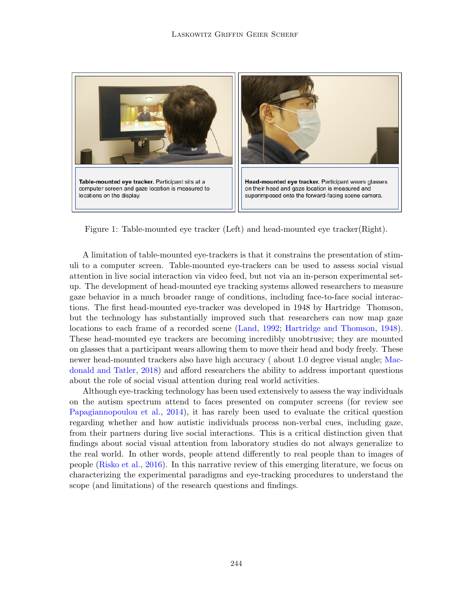

<span id="page-2-0"></span>Figure 1: Table-mounted eye tracker (Left) and head-mounted eye tracker(Right).

A limitation of table-mounted eye-trackers is that it constrains the presentation of stimuli to a computer screen. Table-mounted eye-trackers can be used to assess social visual attention in live social interaction via video feed, but not via an in-person experimental setup. The development of head-mounted eye tracking systems allowed researchers to measure gaze behavior in a much broader range of conditions, including face-to-face social interactions. The first head-mounted eye-tracker was developed in 1948 by Hartridge Thomson, but the technology has substantially improved such that researchers can now map gaze locations to each frame of a recorded scene [\(Land,](#page-20-3) [1992;](#page-20-3) [Hartridge and Thomson,](#page-19-2) [1948\)](#page-19-2). These head-mounted eye trackers are becoming incredibly unobtrusive; they are mounted on glasses that a participant wears allowing them to move their head and body freely. These newer head-mounted trackers also have high accuracy ( about 1.0 degree visual angle; [Mac](#page-20-4)[donald and Tatler,](#page-20-4) [2018\)](#page-20-4) and afford researchers the ability to address important questions about the role of social visual attention during real world activities.

Although eye-tracking technology has been used extensively to assess the way individuals on the autism spectrum attend to faces presented on computer screens (for review see [Papagiannopoulou et al.,](#page-21-0) [2014\)](#page-21-0), it has rarely been used to evaluate the critical question regarding whether and how autistic individuals process non-verbal cues, including gaze, from their partners during live social interactions. This is a critical distinction given that findings about social visual attention from laboratory studies do not always generalize to the real world. In other words, people attend differently to real people than to images of people [\(Risko et al.,](#page-21-3) [2016\)](#page-21-3). In this narrative review of this emerging literature, we focus on characterizing the experimental paradigms and eye-tracking procedures to understand the scope (and limitations) of the research questions and findings.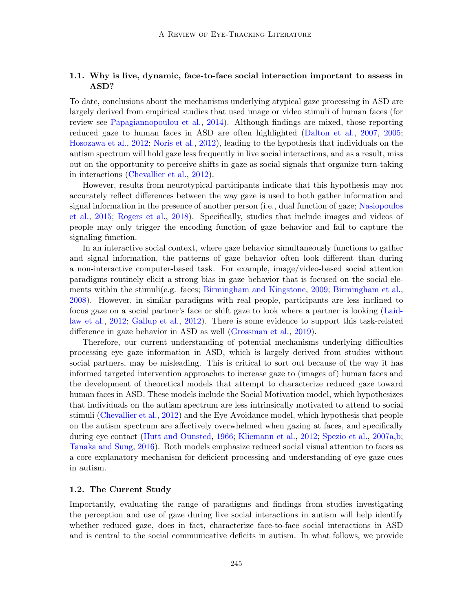# 1.1. Why is live, dynamic, face-to-face social interaction important to assess in ASD?

To date, conclusions about the mechanisms underlying atypical gaze processing in ASD are largely derived from empirical studies that used image or video stimuli of human faces (for review see [Papagiannopoulou et al.,](#page-21-0) [2014\)](#page-21-0). Although findings are mixed, those reporting reduced gaze to human faces in ASD are often highlighted [\(Dalton et al.,](#page-18-1) [2007,](#page-18-1) [2005;](#page-18-2) [Hosozawa et al.,](#page-19-3) [2012;](#page-19-3) [Noris et al.,](#page-21-4) [2012\)](#page-21-4), leading to the hypothesis that individuals on the autism spectrum will hold gaze less frequently in live social interactions, and as a result, miss out on the opportunity to perceive shifts in gaze as social signals that organize turn-taking in interactions [\(Chevallier et al.,](#page-18-3) [2012\)](#page-18-3).

However, results from neurotypical participants indicate that this hypothesis may not accurately reflect differences between the way gaze is used to both gather information and signal information in the presence of another person (i.e., dual function of gaze; [Nasiopoulos](#page-21-5) [et al.,](#page-21-5) [2015;](#page-21-5) [Rogers et al.,](#page-21-6) [2018\)](#page-21-6). Specifically, studies that include images and videos of people may only trigger the encoding function of gaze behavior and fail to capture the signaling function.

In an interactive social context, where gaze behavior simultaneously functions to gather and signal information, the patterns of gaze behavior often look different than during a non-interactive computer-based task. For example, image/video-based social attention paradigms routinely elicit a strong bias in gaze behavior that is focused on the social elements within the stimuli(e.g. faces; [Birmingham and Kingstone,](#page-17-2) [2009;](#page-17-2) [Birmingham et al.,](#page-17-3) [2008\)](#page-17-3). However, in similar paradigms with real people, participants are less inclined to focus gaze on a social partner's face or shift gaze to look where a partner is looking [\(Laid](#page-20-5)[law et al.,](#page-20-5) [2012;](#page-20-5) [Gallup et al.,](#page-18-4) [2012\)](#page-18-4). There is some evidence to support this task-related difference in gaze behavior in ASD as well [\(Grossman et al.,](#page-19-4) [2019\)](#page-19-4).

Therefore, our current understanding of potential mechanisms underlying difficulties processing eye gaze information in ASD, which is largely derived from studies without social partners, may be misleading. This is critical to sort out because of the way it has informed targeted intervention approaches to increase gaze to (images of) human faces and the development of theoretical models that attempt to characterize reduced gaze toward human faces in ASD. These models include the Social Motivation model, which hypothesizes that individuals on the autism spectrum are less intrinsically motivated to attend to social stimuli [\(Chevallier et al.,](#page-18-3) [2012\)](#page-18-3) and the Eye-Avoidance model, which hypothesis that people on the autism spectrum are affectively overwhelmed when gazing at faces, and specifically during eye contact [\(Hutt and Ounsted,](#page-19-5) [1966;](#page-19-5) [Kliemann et al.,](#page-20-6) [2012;](#page-20-6) [Spezio et al.,](#page-21-7) [2007a,](#page-21-7)[b;](#page-21-8) [Tanaka and Sung,](#page-21-9) [2016\)](#page-21-9). Both models emphasize reduced social visual attention to faces as a core explanatory mechanism for deficient processing and understanding of eye gaze cues in autism.

#### 1.2. The Current Study

Importantly, evaluating the range of paradigms and findings from studies investigating the perception and use of gaze during live social interactions in autism will help identify whether reduced gaze, does in fact, characterize face-to-face social interactions in ASD and is central to the social communicative deficits in autism. In what follows, we provide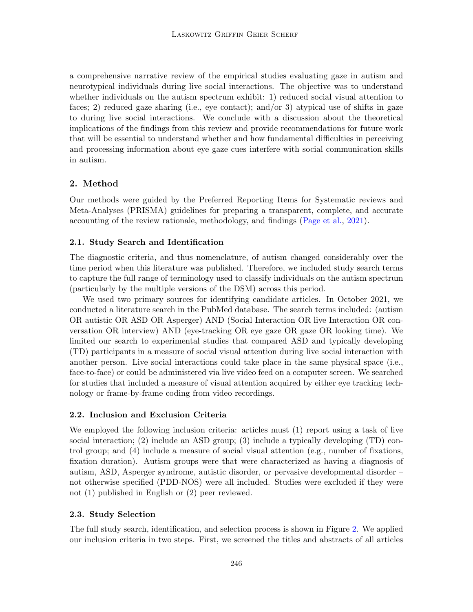a comprehensive narrative review of the empirical studies evaluating gaze in autism and neurotypical individuals during live social interactions. The objective was to understand whether individuals on the autism spectrum exhibit: 1) reduced social visual attention to faces; 2) reduced gaze sharing (i.e., eye contact); and/or 3) atypical use of shifts in gaze to during live social interactions. We conclude with a discussion about the theoretical implications of the findings from this review and provide recommendations for future work that will be essential to understand whether and how fundamental difficulties in perceiving and processing information about eye gaze cues interfere with social communication skills in autism.

# 2. Method

Our methods were guided by the Preferred Reporting Items for Systematic reviews and Meta-Analyses (PRISMA) guidelines for preparing a transparent, complete, and accurate accounting of the review rationale, methodology, and findings [\(Page et al.,](#page-21-10) [2021\)](#page-21-10).

# 2.1. Study Search and Identification

The diagnostic criteria, and thus nomenclature, of autism changed considerably over the time period when this literature was published. Therefore, we included study search terms to capture the full range of terminology used to classify individuals on the autism spectrum (particularly by the multiple versions of the DSM) across this period.

We used two primary sources for identifying candidate articles. In October 2021, we conducted a literature search in the PubMed database. The search terms included: (autism OR autistic OR ASD OR Asperger) AND (Social Interaction OR live Interaction OR conversation OR interview) AND (eye-tracking OR eye gaze OR gaze OR looking time). We limited our search to experimental studies that compared ASD and typically developing (TD) participants in a measure of social visual attention during live social interaction with another person. Live social interactions could take place in the same physical space (i.e., face-to-face) or could be administered via live video feed on a computer screen. We searched for studies that included a measure of visual attention acquired by either eye tracking technology or frame-by-frame coding from video recordings.

### 2.2. Inclusion and Exclusion Criteria

We employed the following inclusion criteria: articles must (1) report using a task of live social interaction; (2) include an ASD group; (3) include a typically developing (TD) control group; and (4) include a measure of social visual attention (e.g., number of fixations, fixation duration). Autism groups were that were characterized as having a diagnosis of autism, ASD, Asperger syndrome, autistic disorder, or pervasive developmental disorder – not otherwise specified (PDD-NOS) were all included. Studies were excluded if they were not (1) published in English or (2) peer reviewed.

### 2.3. Study Selection

The full study search, identification, and selection process is shown in Figure [2.](#page-6-0) We applied our inclusion criteria in two steps. First, we screened the titles and abstracts of all articles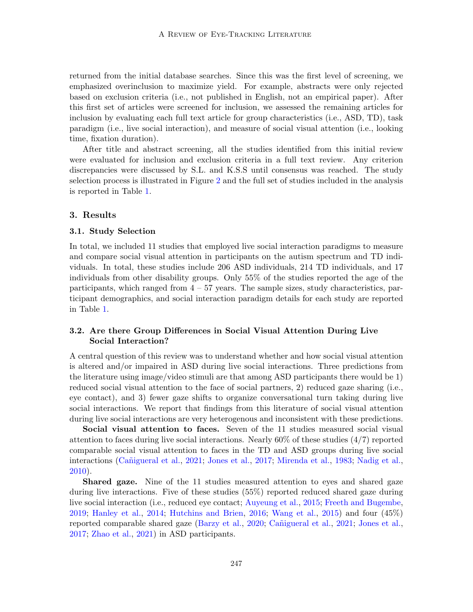returned from the initial database searches. Since this was the first level of screening, we emphasized overinclusion to maximize yield. For example, abstracts were only rejected based on exclusion criteria (i.e., not published in English, not an empirical paper). After this first set of articles were screened for inclusion, we assessed the remaining articles for inclusion by evaluating each full text article for group characteristics (i.e., ASD, TD), task paradigm (i.e., live social interaction), and measure of social visual attention (i.e., looking time, fixation duration).

After title and abstract screening, all the studies identified from this initial review were evaluated for inclusion and exclusion criteria in a full text review. Any criterion discrepancies were discussed by S.L. and K.S.S until consensus was reached. The study selection process is illustrated in Figure [2](#page-6-0) and the full set of studies included in the analysis is reported in Table [1.](#page-7-0)

### 3. Results

#### 3.1. Study Selection

In total, we included 11 studies that employed live social interaction paradigms to measure and compare social visual attention in participants on the autism spectrum and TD individuals. In total, these studies include 206 ASD individuals, 214 TD individuals, and 17 individuals from other disability groups. Only 55% of the studies reported the age of the participants, which ranged from  $4 - 57$  years. The sample sizes, study characteristics, participant demographics, and social interaction paradigm details for each study are reported in Table [1.](#page-7-0)

# 3.2. Are there Group Differences in Social Visual Attention During Live Social Interaction?

A central question of this review was to understand whether and how social visual attention is altered and/or impaired in ASD during live social interactions. Three predictions from the literature using image/video stimuli are that among ASD participants there would be 1) reduced social visual attention to the face of social partners, 2) reduced gaze sharing (i.e., eye contact), and 3) fewer gaze shifts to organize conversational turn taking during live social interactions. We report that findings from this literature of social visual attention during live social interactions are very heterogenous and inconsistent with these predictions.

Social visual attention to faces. Seven of the 11 studies measured social visual attention to faces during live social interactions. Nearly  $60\%$  of these studies  $(4/7)$  reported comparable social visual attention to faces in the TD and ASD groups during live social interactions (Cañigueral et al., [2021;](#page-18-5) [Jones et al.,](#page-20-7) [2017;](#page-20-7) [Mirenda et al.,](#page-20-2) [1983;](#page-20-2) [Nadig et al.,](#page-20-8) [2010\)](#page-20-8).

Shared gaze. Nine of the 11 studies measured attention to eyes and shared gaze during live interactions. Five of these studies (55%) reported reduced shared gaze during live social interaction (i.e., reduced eye contact; [Auyeung et al.,](#page-17-4) [2015;](#page-17-4) [Freeth and Bugembe,](#page-18-6) [2019;](#page-18-6) [Hanley et al.,](#page-19-6) [2014;](#page-19-6) [Hutchins and Brien,](#page-19-7) [2016;](#page-19-7) [Wang et al.,](#page-22-1) [2015\)](#page-22-1) and four (45%) reported comparable shared gaze [\(Barzy et al.,](#page-17-5) [2020;](#page-17-5) Cañigueral et al., [2021;](#page-18-5) [Jones et al.,](#page-20-7) [2017;](#page-20-7) [Zhao et al.,](#page-22-2) [2021\)](#page-22-2) in ASD participants.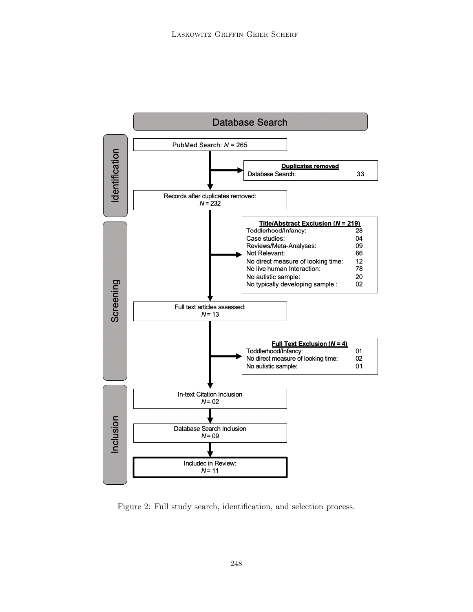

<span id="page-6-0"></span>Figure 2: Full study search, identification, and selection process.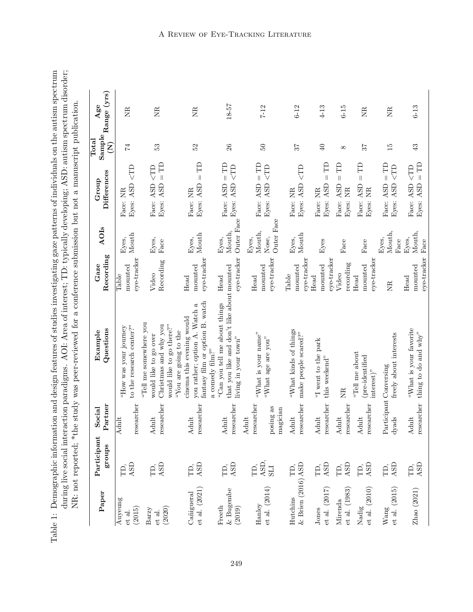<span id="page-7-0"></span>

| Paper                                       | Participant<br>groups     | Partner<br>Social                            | Questions<br>Example                                                                                                                     | Recording<br>Gaze               | AOIs                                   | Differences<br>Group                                                   | $_{\rm Total}$<br>$\widehat{\mathsf{Z}}$ | $\begin{array}{c} \text{Sample} \\ \text{} \end{array} \text{Range } (\text{yrs})$<br>Age |
|---------------------------------------------|---------------------------|----------------------------------------------|------------------------------------------------------------------------------------------------------------------------------------------|---------------------------------|----------------------------------------|------------------------------------------------------------------------|------------------------------------------|-------------------------------------------------------------------------------------------|
| Auyeung<br>(2015)<br>et al.                 | ASD<br>TD,                | researcher<br>Adult                          | to the research center?"<br>"How was your journey                                                                                        | eye-tracker<br>mounted<br>Table | Mouth<br>Eyes,                         | CTD<br>Eyes: ASD<br>Face: NR                                           | 74                                       | E                                                                                         |
| (2020)<br>$_{\rm Barzy}$<br>et al.          | ASD<br>ΓD,                | researcher<br>Adult                          | "Tell me somewhere you<br>Christmas and why you<br>would like to go there?"<br>would like to go over                                     | Recording<br>Video              | Eyes,<br>Face                          | $=$ TD<br>$\zeta$ TD<br>Face: ASD<br>Eyes: ASD                         | 53                                       | EN                                                                                        |
| et al. (2021)<br>Cañigueral                 | ASD<br>TD,                | researcher<br>Adult                          | fantasy film or option B. watch<br>you rather; option A. Watch a<br>cinema this evening would<br>"You are going to the                   | eye-tracker<br>mounted<br>Head  | Mouth<br>Eyes,                         | $\left  {}\right $<br>Eyes: ASD<br>Face: NR                            | 52<br>$\mathbb{R}$                       | EN                                                                                        |
| $\&$ Bugembe<br>Freeth<br>(2019)            | ASD<br>FD,                | researcher<br>Adult                          | that you like and don't like about mounted<br>"Can you tell me about things<br>living in your town"<br>a comedy $\operatorname{film} ?"$ | eye-tracker<br>$\rm Head$       | Outer Face<br>Mouth,<br>Eyes,          | $T =$<br>$\subset$ TD<br>Eyes: ASD<br>Face: ASD                        | 26                                       | 18-57                                                                                     |
| et al. (2014)<br>Hanley                     | ASD,<br>Ē,<br><b>ITS</b>  | researcher<br>posing as<br>magician<br>Adult | "What is your name"<br>"What age are you"                                                                                                | eye-tracker<br>mounted<br>Head  | Outer Face<br>Mouth,<br>Nose,<br>Eyes, | $=$ TD<br>Eyes: ASD <td<br>Face: ASD</td<br>                           | PS.                                      | $7 - 12$                                                                                  |
| $&$ Brien (2016) ASD<br>Hutchins            | TD,                       | researcher<br>Adult                          | "What kinds of things<br>make people scared?"                                                                                            | eye-tracker<br>mounted<br>Table | Mouth<br>Eyes,                         | CTD<br>Eyes: ASD<br>Face: NR                                           | 75                                       | $6 - 12$                                                                                  |
| et al. (2017)<br>Jones                      | $\operatorname{ASD}$<br>Ë | researcher<br>Adult                          | "I went to the park<br>this weekend"                                                                                                     | eye-tracker<br>mounted<br>Head  | Eyes                                   | $\left\vert {}\right\vert$<br>Eyes: ASD<br>Face: NR                    | $\Theta$<br>Ê                            | $4 - 13$                                                                                  |
| et al. (1983)<br>Mirenda                    | ASD<br>TD,                | researcher<br>Adult                          | <b>EN</b>                                                                                                                                | recording<br>Video              | Face                                   | $\left  {}\right $<br>Face: ASD<br>Eyes: NR                            | $^{\infty}$<br>Ê                         | $6 - 15$                                                                                  |
| et al. (2010)<br>Nadig                      | ASD<br>Ĥ,                 | researcher<br>Adult                          | "Tell me about<br>(pre-identified<br>$interest)$ "                                                                                       | eye-tracker<br>mounted<br>Head  | Face                                   | $\mid \mid$<br>Face: ASD<br>$\mathbb{R}$<br>Eyes:                      | 57<br>Ê                                  | <b>EN</b>                                                                                 |
| et al. (2015)<br>$\ensuremath{\text{Wang}}$ | ASD<br>FD,                | dyads                                        | freely about interests<br>Participant Conversing                                                                                         | <b>NR</b>                       | Mouth,<br>Eyes,<br>Face                | $T =$<br>$\subset$ TD<br>ASD<br>ASD<br>Face:<br>Eyes:                  | $\overline{15}$                          | EN                                                                                        |
| Zhao (2021)                                 | ASD<br>Ê                  | researcher<br>Adult                          | "What is your favorite<br>thing to do and why"                                                                                           | eye-tracker<br>mounted<br>Head  | Mouth,<br>Eyes,<br>Face                | $\subset T$<br>$\left\vert {}\right\vert$<br>Face: ASD<br>ASD<br>Eyes: | $43$<br>E                                | $6-13$                                                                                    |

Table 1: Demographic information and design features of studies investigating gaze patterns of individuals on the autism spectrum<br>during live social interaction paradigms. AOI: Area of interest; TD: typically developing; A Table 1: Demographic information and design features of studies investigating gaze patterns of individuals on the autism spectrum during live social interaction paradigms. AOI: Area of interest; TD: typically developing; ASD: autism spectrum disorder;

# A Review of Eye-Tracking Literature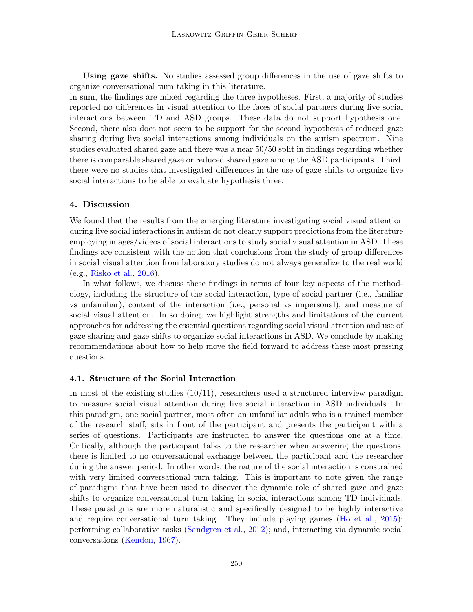Using gaze shifts. No studies assessed group differences in the use of gaze shifts to organize conversational turn taking in this literature.

In sum, the findings are mixed regarding the three hypotheses. First, a majority of studies reported no differences in visual attention to the faces of social partners during live social interactions between TD and ASD groups. These data do not support hypothesis one. Second, there also does not seem to be support for the second hypothesis of reduced gaze sharing during live social interactions among individuals on the autism spectrum. Nine studies evaluated shared gaze and there was a near 50/50 split in findings regarding whether there is comparable shared gaze or reduced shared gaze among the ASD participants. Third, there were no studies that investigated differences in the use of gaze shifts to organize live social interactions to be able to evaluate hypothesis three.

# 4. Discussion

We found that the results from the emerging literature investigating social visual attention during live social interactions in autism do not clearly support predictions from the literature employing images/videos of social interactions to study social visual attention in ASD. These findings are consistent with the notion that conclusions from the study of group differences in social visual attention from laboratory studies do not always generalize to the real world (e.g., [Risko et al.,](#page-21-3) [2016\)](#page-21-3).

In what follows, we discuss these findings in terms of four key aspects of the methodology, including the structure of the social interaction, type of social partner (i.e., familiar vs unfamiliar), content of the interaction (i.e., personal vs impersonal), and measure of social visual attention. In so doing, we highlight strengths and limitations of the current approaches for addressing the essential questions regarding social visual attention and use of gaze sharing and gaze shifts to organize social interactions in ASD. We conclude by making recommendations about how to help move the field forward to address these most pressing questions.

#### 4.1. Structure of the Social Interaction

In most of the existing studies  $(10/11)$ , researchers used a structured interview paradigm to measure social visual attention during live social interaction in ASD individuals. In this paradigm, one social partner, most often an unfamiliar adult who is a trained member of the research staff, sits in front of the participant and presents the participant with a series of questions. Participants are instructed to answer the questions one at a time. Critically, although the participant talks to the researcher when answering the questions, there is limited to no conversational exchange between the participant and the researcher during the answer period. In other words, the nature of the social interaction is constrained with very limited conversational turn taking. This is important to note given the range of paradigms that have been used to discover the dynamic role of shared gaze and gaze shifts to organize conversational turn taking in social interactions among TD individuals. These paradigms are more naturalistic and specifically designed to be highly interactive and require conversational turn taking. They include playing games [\(Ho et al.,](#page-19-0) [2015\)](#page-19-0); performing collaborative tasks [\(Sandgren et al.,](#page-21-11) [2012\)](#page-21-11); and, interacting via dynamic social conversations [\(Kendon,](#page-20-9) [1967\)](#page-20-9).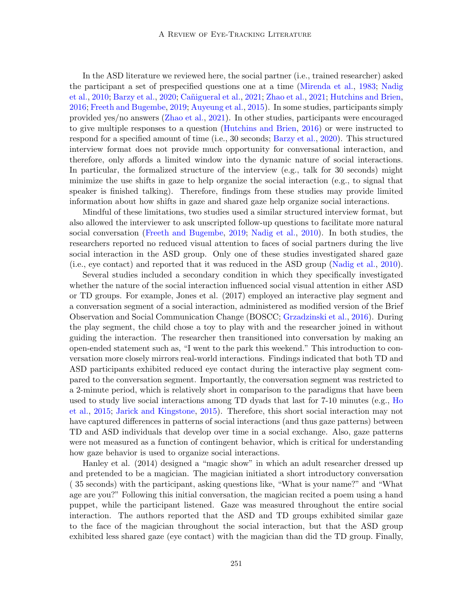In the ASD literature we reviewed here, the social partner (i.e., trained researcher) asked the participant a set of prespecified questions one at a time [\(Mirenda et al.,](#page-20-2) [1983;](#page-20-2) [Nadig](#page-20-8) [et al.,](#page-20-8) [2010;](#page-20-8) [Barzy et al.,](#page-17-5) [2020;](#page-17-5) Cañigueral et al., [2021;](#page-22-2) [Zhao et al.,](#page-22-2) 2021; [Hutchins and Brien,](#page-19-7) [2016;](#page-19-7) [Freeth and Bugembe,](#page-18-6) [2019;](#page-18-6) [Auyeung et al.,](#page-17-4) [2015\)](#page-17-4). In some studies, participants simply provided yes/no answers [\(Zhao et al.,](#page-22-2) [2021\)](#page-22-2). In other studies, participants were encouraged to give multiple responses to a question [\(Hutchins and Brien,](#page-19-7) [2016\)](#page-19-7) or were instructed to respond for a specified amount of time (i.e., 30 seconds; [Barzy et al.,](#page-17-5) [2020\)](#page-17-5). This structured interview format does not provide much opportunity for conversational interaction, and therefore, only affords a limited window into the dynamic nature of social interactions. In particular, the formalized structure of the interview (e.g., talk for 30 seconds) might minimize the use shifts in gaze to help organize the social interaction (e.g., to signal that speaker is finished talking). Therefore, findings from these studies may provide limited information about how shifts in gaze and shared gaze help organize social interactions.

Mindful of these limitations, two studies used a similar structured interview format, but also allowed the interviewer to ask unscripted follow-up questions to facilitate more natural social conversation [\(Freeth and Bugembe,](#page-18-6) [2019;](#page-18-6) [Nadig et al.,](#page-20-8) [2010\)](#page-20-8). In both studies, the researchers reported no reduced visual attention to faces of social partners during the live social interaction in the ASD group. Only one of these studies investigated shared gaze (i.e., eye contact) and reported that it was reduced in the ASD group [\(Nadig et al.,](#page-20-8) [2010\)](#page-20-8).

Several studies included a secondary condition in which they specifically investigated whether the nature of the social interaction influenced social visual attention in either ASD or TD groups. For example, Jones et al. (2017) employed an interactive play segment and a conversation segment of a social interaction, administered as modified version of the Brief Observation and Social Communication Change (BOSCC; [Grzadzinski et al.,](#page-19-8) [2016\)](#page-19-8). During the play segment, the child chose a toy to play with and the researcher joined in without guiding the interaction. The researcher then transitioned into conversation by making an open-ended statement such as, "I went to the park this weekend." This introduction to conversation more closely mirrors real-world interactions. Findings indicated that both TD and ASD participants exhibited reduced eye contact during the interactive play segment compared to the conversation segment. Importantly, the conversation segment was restricted to a 2-minute period, which is relatively short in comparison to the paradigms that have been used to study live social interactions among TD dyads that last for 7-10 minutes (e.g., [Ho](#page-19-0) [et al.,](#page-19-0) [2015;](#page-19-0) [Jarick and Kingstone,](#page-19-9) [2015\)](#page-19-9). Therefore, this short social interaction may not have captured differences in patterns of social interactions (and thus gaze patterns) between TD and ASD individuals that develop over time in a social exchange. Also, gaze patterns were not measured as a function of contingent behavior, which is critical for understanding how gaze behavior is used to organize social interactions.

Hanley et al. (2014) designed a "magic show" in which an adult researcher dressed up and pretended to be a magician. The magician initiated a short introductory conversation ( 35 seconds) with the participant, asking questions like, "What is your name?" and "What age are you?" Following this initial conversation, the magician recited a poem using a hand puppet, while the participant listened. Gaze was measured throughout the entire social interaction. The authors reported that the ASD and TD groups exhibited similar gaze to the face of the magician throughout the social interaction, but that the ASD group exhibited less shared gaze (eye contact) with the magician than did the TD group. Finally,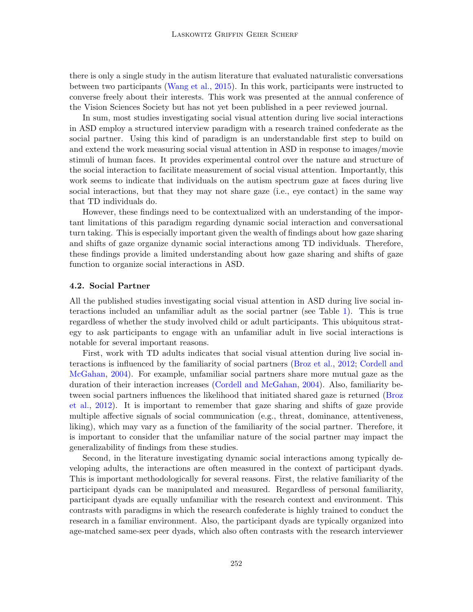there is only a single study in the autism literature that evaluated naturalistic conversations between two participants [\(Wang et al.,](#page-22-1) [2015\)](#page-22-1). In this work, participants were instructed to converse freely about their interests. This work was presented at the annual conference of the Vision Sciences Society but has not yet been published in a peer reviewed journal.

In sum, most studies investigating social visual attention during live social interactions in ASD employ a structured interview paradigm with a research trained confederate as the social partner. Using this kind of paradigm is an understandable first step to build on and extend the work measuring social visual attention in ASD in response to images/movie stimuli of human faces. It provides experimental control over the nature and structure of the social interaction to facilitate measurement of social visual attention. Importantly, this work seems to indicate that individuals on the autism spectrum gaze at faces during live social interactions, but that they may not share gaze (i.e., eye contact) in the same way that TD individuals do.

However, these findings need to be contextualized with an understanding of the important limitations of this paradigm regarding dynamic social interaction and conversational turn taking. This is especially important given the wealth of findings about how gaze sharing and shifts of gaze organize dynamic social interactions among TD individuals. Therefore, these findings provide a limited understanding about how gaze sharing and shifts of gaze function to organize social interactions in ASD.

### 4.2. Social Partner

All the published studies investigating social visual attention in ASD during live social interactions included an unfamiliar adult as the social partner (see Table [1\)](#page-7-0). This is true regardless of whether the study involved child or adult participants. This ubiquitous strategy to ask participants to engage with an unfamiliar adult in live social interactions is notable for several important reasons.

First, work with TD adults indicates that social visual attention during live social interactions is influenced by the familiarity of social partners [\(Broz et al.,](#page-17-6) [2012;](#page-17-6) [Cordell and](#page-18-7) [McGahan,](#page-18-7) [2004\)](#page-18-7). For example, unfamiliar social partners share more mutual gaze as the duration of their interaction increases [\(Cordell and McGahan,](#page-18-7) [2004\)](#page-18-7). Also, familiarity between social partners influences the likelihood that initiated shared gaze is returned [\(Broz](#page-17-6) [et al.,](#page-17-6) [2012\)](#page-17-6). It is important to remember that gaze sharing and shifts of gaze provide multiple affective signals of social communication (e.g., threat, dominance, attentiveness, liking), which may vary as a function of the familiarity of the social partner. Therefore, it is important to consider that the unfamiliar nature of the social partner may impact the generalizability of findings from these studies.

Second, in the literature investigating dynamic social interactions among typically developing adults, the interactions are often measured in the context of participant dyads. This is important methodologically for several reasons. First, the relative familiarity of the participant dyads can be manipulated and measured. Regardless of personal familiarity, participant dyads are equally unfamiliar with the research context and environment. This contrasts with paradigms in which the research confederate is highly trained to conduct the research in a familiar environment. Also, the participant dyads are typically organized into age-matched same-sex peer dyads, which also often contrasts with the research interviewer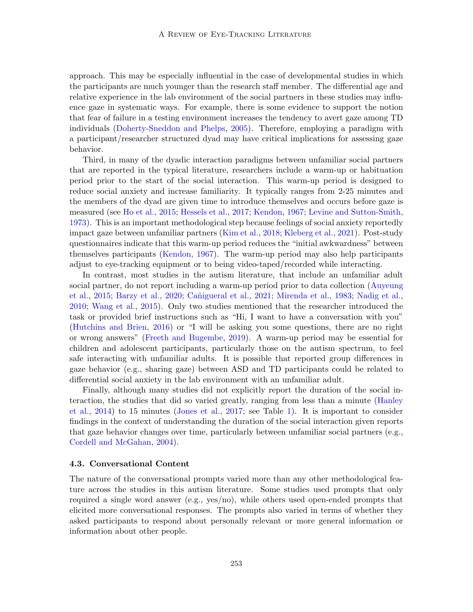approach. This may be especially influential in the case of developmental studies in which the participants are much younger than the research staff member. The differential age and relative experience in the lab environment of the social partners in these studies may influence gaze in systematic ways. For example, there is some evidence to support the notion that fear of failure in a testing environment increases the tendency to avert gaze among TD individuals [\(Doherty-Sneddon and Phelps,](#page-18-8) [2005\)](#page-18-8). Therefore, employing a paradigm with a participant/researcher structured dyad may have critical implications for assessing gaze behavior.

Third, in many of the dyadic interaction paradigms between unfamiliar social partners that are reported in the typical literature, researchers include a warm-up or habituation period prior to the start of the social interaction. This warm-up period is designed to reduce social anxiety and increase familiarity. It typically ranges from 2-25 minutes and the members of the dyad are given time to introduce themselves and occurs before gaze is measured (see [Ho et al.,](#page-19-0) [2015;](#page-19-0) [Hessels et al.,](#page-19-10) [2017;](#page-19-10) [Kendon,](#page-20-9) [1967;](#page-20-9) [Levine and Sutton-Smith,](#page-20-1) [1973\)](#page-20-1). This is an important methodological step because feelings of social anxiety reportedly impact gaze between unfamiliar partners [\(Kim et al.,](#page-20-10) [2018;](#page-20-10) [Kleberg et al.,](#page-20-11) [2021\)](#page-20-11). Post-study questionnaires indicate that this warm-up period reduces the "initial awkwardness" between themselves participants [\(Kendon,](#page-20-9) [1967\)](#page-20-9). The warm-up period may also help participants adjust to eye-tracking equipment or to being video-taped/recorded while interacting.

In contrast, most studies in the autism literature, that include an unfamiliar adult social partner, do not report including a warm-up period prior to data collection [\(Auyeung](#page-17-4) [et al.,](#page-17-4) [2015;](#page-17-4) [Barzy et al.,](#page-17-5) [2020;](#page-17-5) Cañigueral et al., [2021;](#page-18-5) [Mirenda et al.,](#page-20-2) [1983;](#page-20-2) [Nadig et al.,](#page-20-8) [2010;](#page-20-8) [Wang et al.,](#page-22-1) [2015\)](#page-22-1). Only two studies mentioned that the researcher introduced the task or provided brief instructions such as "Hi, I want to have a conversation with you" [\(Hutchins and Brien,](#page-19-7) [2016\)](#page-19-7) or "I will be asking you some questions, there are no right or wrong answers" [\(Freeth and Bugembe,](#page-18-6) [2019\)](#page-18-6). A warm-up period may be essential for children and adolescent participants, particularly those on the autism spectrum, to feel safe interacting with unfamiliar adults. It is possible that reported group differences in gaze behavior (e.g., sharing gaze) between ASD and TD participants could be related to differential social anxiety in the lab environment with an unfamiliar adult.

Finally, although many studies did not explicitly report the duration of the social interaction, the studies that did so varied greatly, ranging from less than a minute [\(Hanley](#page-19-6) [et al.,](#page-19-6) [2014\)](#page-19-6) to 15 minutes [\(Jones et al.,](#page-20-7) [2017;](#page-20-7) see Table [1\)](#page-7-0). It is important to consider findings in the context of understanding the duration of the social interaction given reports that gaze behavior changes over time, particularly between unfamiliar social partners (e.g., [Cordell and McGahan,](#page-18-7) [2004\)](#page-18-7).

#### 4.3. Conversational Content

The nature of the conversational prompts varied more than any other methodological feature across the studies in this autism literature. Some studies used prompts that only required a single word answer (e.g., yes/no), while others used open-ended prompts that elicited more conversational responses. The prompts also varied in terms of whether they asked participants to respond about personally relevant or more general information or information about other people.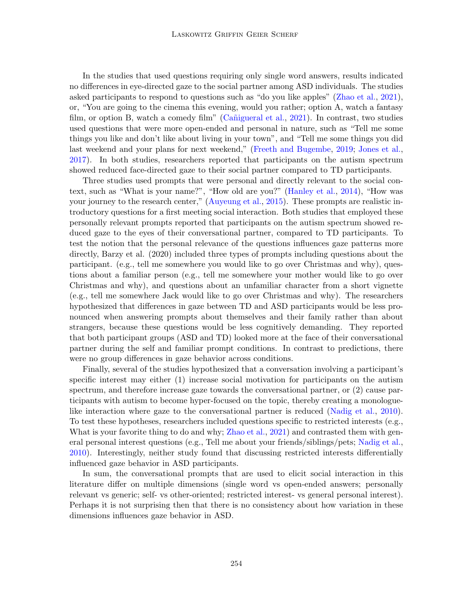In the studies that used questions requiring only single word answers, results indicated no differences in eye-directed gaze to the social partner among ASD individuals. The studies asked participants to respond to questions such as "do you like apples" [\(Zhao et al.,](#page-22-2) [2021\)](#page-22-2), or, "You are going to the cinema this evening, would you rather; option A, watch a fantasy film, or option B, watch a comedy film" (Cañigueral et al.,  $2021$ ). In contrast, two studies used questions that were more open-ended and personal in nature, such as "Tell me some things you like and don't like about living in your town", and "Tell me some things you did last weekend and your plans for next weekend," [\(Freeth and Bugembe,](#page-18-6) [2019;](#page-18-6) [Jones et al.,](#page-20-7) [2017\)](#page-20-7). In both studies, researchers reported that participants on the autism spectrum showed reduced face-directed gaze to their social partner compared to TD participants.

Three studies used prompts that were personal and directly relevant to the social context, such as "What is your name?", "How old are you?" [\(Hanley et al.,](#page-19-6) [2014\)](#page-19-6), "How was your journey to the research center," [\(Auyeung et al.,](#page-17-4) [2015\)](#page-17-4). These prompts are realistic introductory questions for a first meeting social interaction. Both studies that employed these personally relevant prompts reported that participants on the autism spectrum showed reduced gaze to the eyes of their conversational partner, compared to TD participants. To test the notion that the personal relevance of the questions influences gaze patterns more directly, Barzy et al. (2020) included three types of prompts including questions about the participant. (e.g., tell me somewhere you would like to go over Christmas and why), questions about a familiar person (e.g., tell me somewhere your mother would like to go over Christmas and why), and questions about an unfamiliar character from a short vignette (e.g., tell me somewhere Jack would like to go over Christmas and why). The researchers hypothesized that differences in gaze between TD and ASD participants would be less pronounced when answering prompts about themselves and their family rather than about strangers, because these questions would be less cognitively demanding. They reported that both participant groups (ASD and TD) looked more at the face of their conversational partner during the self and familiar prompt conditions. In contrast to predictions, there were no group differences in gaze behavior across conditions.

Finally, several of the studies hypothesized that a conversation involving a participant's specific interest may either (1) increase social motivation for participants on the autism spectrum, and therefore increase gaze towards the conversational partner, or (2) cause participants with autism to become hyper-focused on the topic, thereby creating a monologuelike interaction where gaze to the conversational partner is reduced [\(Nadig et al.,](#page-20-8) [2010\)](#page-20-8). To test these hypotheses, researchers included questions specific to restricted interests (e.g., What is your favorite thing to do and why; [Zhao et al.,](#page-22-2) [2021\)](#page-22-2) and contrasted them with general personal interest questions (e.g., Tell me about your friends/siblings/pets; [Nadig et al.,](#page-20-8) [2010\)](#page-20-8). Interestingly, neither study found that discussing restricted interests differentially influenced gaze behavior in ASD participants.

In sum, the conversational prompts that are used to elicit social interaction in this literature differ on multiple dimensions (single word vs open-ended answers; personally relevant vs generic; self- vs other-oriented; restricted interest- vs general personal interest). Perhaps it is not surprising then that there is no consistency about how variation in these dimensions influences gaze behavior in ASD.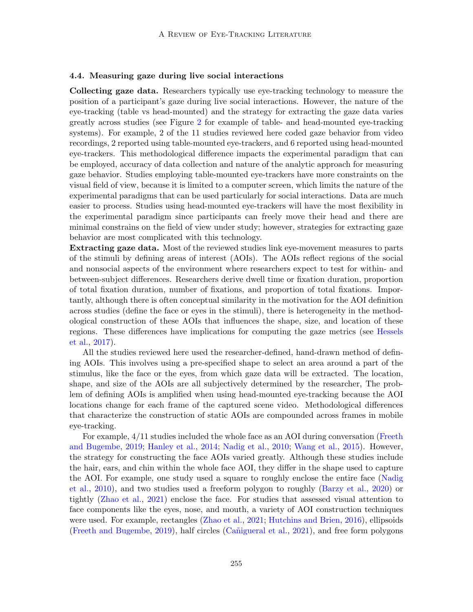### 4.4. Measuring gaze during live social interactions

Collecting gaze data. Researchers typically use eye-tracking technology to measure the position of a participant's gaze during live social interactions. However, the nature of the eye-tracking (table vs head-mounted) and the strategy for extracting the gaze data varies greatly across studies (see Figure [2](#page-6-0) for example of table- and head-mounted eye-tracking systems). For example, 2 of the 11 studies reviewed here coded gaze behavior from video recordings, 2 reported using table-mounted eye-trackers, and 6 reported using head-mounted eye-trackers. This methodological difference impacts the experimental paradigm that can be employed, accuracy of data collection and nature of the analytic approach for measuring gaze behavior. Studies employing table-mounted eye-trackers have more constraints on the visual field of view, because it is limited to a computer screen, which limits the nature of the experimental paradigms that can be used particularly for social interactions. Data are much easier to process. Studies using head-mounted eye-trackers will have the most flexibility in the experimental paradigm since participants can freely move their head and there are minimal constrains on the field of view under study; however, strategies for extracting gaze behavior are most complicated with this technology.

Extracting gaze data. Most of the reviewed studies link eye-movement measures to parts of the stimuli by defining areas of interest (AOIs). The AOIs reflect regions of the social and nonsocial aspects of the environment where researchers expect to test for within- and between-subject differences. Researchers derive dwell time or fixation duration, proportion of total fixation duration, number of fixations, and proportion of total fixations. Importantly, although there is often conceptual similarity in the motivation for the AOI definition across studies (define the face or eyes in the stimuli), there is heterogeneity in the methodological construction of these AOIs that influences the shape, size, and location of these regions. These differences have implications for computing the gaze metrics (see [Hessels](#page-19-10) [et al.,](#page-19-10) [2017\)](#page-19-10).

All the studies reviewed here used the researcher-defined, hand-drawn method of defining AOIs. This involves using a pre-specified shape to select an area around a part of the stimulus, like the face or the eyes, from which gaze data will be extracted. The location, shape, and size of the AOIs are all subjectively determined by the researcher, The problem of defining AOIs is amplified when using head-mounted eye-tracking because the AOI locations change for each frame of the captured scene video. Methodological differences that characterize the construction of static AOIs are compounded across frames in mobile eye-tracking.

For example, 4/11 studies included the whole face as an AOI during conversation [\(Freeth](#page-18-6) [and Bugembe,](#page-18-6) [2019;](#page-18-6) [Hanley et al.,](#page-19-6) [2014;](#page-19-6) [Nadig et al.,](#page-20-8) [2010;](#page-20-8) [Wang et al.,](#page-22-1) [2015\)](#page-22-1). However, the strategy for constructing the face AOIs varied greatly. Although these studies include the hair, ears, and chin within the whole face AOI, they differ in the shape used to capture the AOI. For example, one study used a square to roughly enclose the entire face [\(Nadig](#page-20-8) [et al.,](#page-20-8) [2010\)](#page-20-8), and two studies used a freeform polygon to roughly [\(Barzy et al.,](#page-17-5) [2020\)](#page-17-5) or tightly [\(Zhao et al.,](#page-22-2) [2021\)](#page-22-2) enclose the face. For studies that assessed visual attention to face components like the eyes, nose, and mouth, a variety of AOI construction techniques were used. For example, rectangles [\(Zhao et al.,](#page-22-2) [2021;](#page-22-2) [Hutchins and Brien,](#page-19-7) [2016\)](#page-19-7), ellipsoids [\(Freeth and Bugembe,](#page-18-6) [2019\)](#page-18-6), half circles (Cañigueral et al., [2021\)](#page-18-5), and free form polygons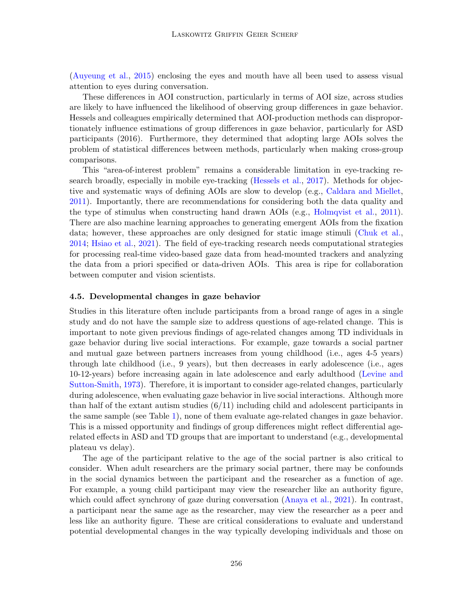[\(Auyeung et al.,](#page-17-4) [2015\)](#page-17-4) enclosing the eyes and mouth have all been used to assess visual attention to eyes during conversation.

These differences in AOI construction, particularly in terms of AOI size, across studies are likely to have influenced the likelihood of observing group differences in gaze behavior. Hessels and colleagues empirically determined that AOI-production methods can disproportionately influence estimations of group differences in gaze behavior, particularly for ASD participants (2016). Furthermore, they determined that adopting large AOIs solves the problem of statistical differences between methods, particularly when making cross-group comparisons.

This "area-of-interest problem" remains a considerable limitation in eye-tracking research broadly, especially in mobile eye-tracking [\(Hessels et al.,](#page-19-10) [2017\)](#page-19-10). Methods for objective and systematic ways of defining AOIs are slow to develop (e.g., [Caldara and Miellet,](#page-18-9) [2011\)](#page-18-9). Importantly, there are recommendations for considering both the data quality and the type of stimulus when constructing hand drawn AOIs (e.g., [Holmqvist et al.,](#page-19-11) [2011\)](#page-19-11). There are also machine learning approaches to generating emergent AOIs from the fixation data; however, these approaches are only designed for static image stimuli [\(Chuk et al.,](#page-18-10) [2014;](#page-18-10) [Hsiao et al.,](#page-19-12) [2021\)](#page-19-12). The field of eye-tracking research needs computational strategies for processing real-time video-based gaze data from head-mounted trackers and analyzing the data from a priori specified or data-driven AOIs. This area is ripe for collaboration between computer and vision scientists.

#### 4.5. Developmental changes in gaze behavior

Studies in this literature often include participants from a broad range of ages in a single study and do not have the sample size to address questions of age-related change. This is important to note given previous findings of age-related changes among TD individuals in gaze behavior during live social interactions. For example, gaze towards a social partner and mutual gaze between partners increases from young childhood (i.e., ages 4-5 years) through late childhood (i.e., 9 years), but then decreases in early adolescence (i.e., ages 10-12-years) before increasing again in late adolescence and early adulthood [\(Levine and](#page-20-1) [Sutton-Smith,](#page-20-1) [1973\)](#page-20-1). Therefore, it is important to consider age-related changes, particularly during adolescence, when evaluating gaze behavior in live social interactions. Although more than half of the extant autism studies (6/11) including child and adolescent participants in the same sample (see Table [1\)](#page-7-0), none of them evaluate age-related changes in gaze behavior. This is a missed opportunity and findings of group differences might reflect differential agerelated effects in ASD and TD groups that are important to understand (e.g., developmental plateau vs delay).

The age of the participant relative to the age of the social partner is also critical to consider. When adult researchers are the primary social partner, there may be confounds in the social dynamics between the participant and the researcher as a function of age. For example, a young child participant may view the researcher like an authority figure, which could affect synchrony of gaze during conversation [\(Anaya et al.,](#page-17-7) [2021\)](#page-17-7). In contrast, a participant near the same age as the researcher, may view the researcher as a peer and less like an authority figure. These are critical considerations to evaluate and understand potential developmental changes in the way typically developing individuals and those on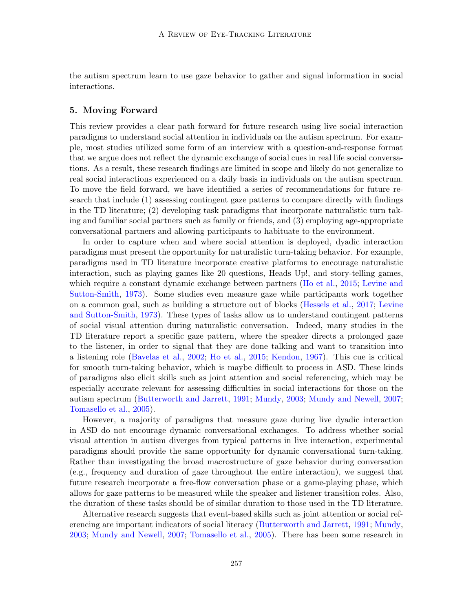the autism spectrum learn to use gaze behavior to gather and signal information in social interactions.

### 5. Moving Forward

This review provides a clear path forward for future research using live social interaction paradigms to understand social attention in individuals on the autism spectrum. For example, most studies utilized some form of an interview with a question-and-response format that we argue does not reflect the dynamic exchange of social cues in real life social conversations. As a result, these research findings are limited in scope and likely do not generalize to real social interactions experienced on a daily basis in individuals on the autism spectrum. To move the field forward, we have identified a series of recommendations for future research that include (1) assessing contingent gaze patterns to compare directly with findings in the TD literature; (2) developing task paradigms that incorporate naturalistic turn taking and familiar social partners such as family or friends, and (3) employing age-appropriate conversational partners and allowing participants to habituate to the environment.

In order to capture when and where social attention is deployed, dyadic interaction paradigms must present the opportunity for naturalistic turn-taking behavior. For example, paradigms used in TD literature incorporate creative platforms to encourage naturalistic interaction, such as playing games like 20 questions, Heads Up!, and story-telling games, which require a constant dynamic exchange between partners [\(Ho et al.,](#page-19-0) [2015;](#page-19-0) [Levine and](#page-20-1) [Sutton-Smith,](#page-20-1) [1973\)](#page-20-1). Some studies even measure gaze while participants work together on a common goal, such as building a structure out of blocks [\(Hessels et al.,](#page-19-10) [2017;](#page-19-10) [Levine](#page-20-1) [and Sutton-Smith,](#page-20-1) [1973\)](#page-20-1). These types of tasks allow us to understand contingent patterns of social visual attention during naturalistic conversation. Indeed, many studies in the TD literature report a specific gaze pattern, where the speaker directs a prolonged gaze to the listener, in order to signal that they are done talking and want to transition into a listening role [\(Bavelas et al.,](#page-17-8) [2002;](#page-17-8) [Ho et al.,](#page-19-0) [2015;](#page-19-0) [Kendon,](#page-20-9) [1967\)](#page-20-9). This cue is critical for smooth turn-taking behavior, which is maybe difficult to process in ASD. These kinds of paradigms also elicit skills such as joint attention and social referencing, which may be especially accurate relevant for assessing difficulties in social interactions for those on the autism spectrum [\(Butterworth and Jarrett,](#page-18-11) [1991;](#page-18-11) [Mundy,](#page-20-12) [2003;](#page-20-12) [Mundy and Newell,](#page-20-13) [2007;](#page-20-13) [Tomasello et al.,](#page-22-3) [2005\)](#page-22-3).

However, a majority of paradigms that measure gaze during live dyadic interaction in ASD do not encourage dynamic conversational exchanges. To address whether social visual attention in autism diverges from typical patterns in live interaction, experimental paradigms should provide the same opportunity for dynamic conversational turn-taking. Rather than investigating the broad macrostructure of gaze behavior during conversation (e.g., frequency and duration of gaze throughout the entire interaction), we suggest that future research incorporate a free-flow conversation phase or a game-playing phase, which allows for gaze patterns to be measured while the speaker and listener transition roles. Also, the duration of these tasks should be of similar duration to those used in the TD literature.

Alternative research suggests that event-based skills such as joint attention or social referencing are important indicators of social literacy [\(Butterworth and Jarrett,](#page-18-11) [1991;](#page-18-11) [Mundy,](#page-20-12) [2003;](#page-20-12) [Mundy and Newell,](#page-20-13) [2007;](#page-20-13) [Tomasello et al.,](#page-22-3) [2005\)](#page-22-3). There has been some research in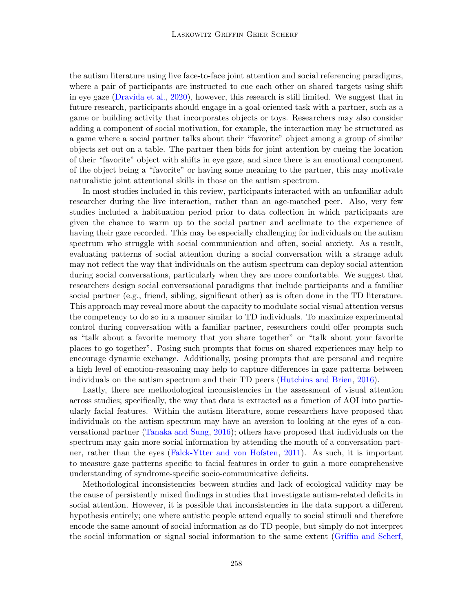the autism literature using live face-to-face joint attention and social referencing paradigms, where a pair of participants are instructed to cue each other on shared targets using shift in eye gaze [\(Dravida et al.,](#page-18-12) [2020\)](#page-18-12), however, this research is still limited. We suggest that in future research, participants should engage in a goal-oriented task with a partner, such as a game or building activity that incorporates objects or toys. Researchers may also consider adding a component of social motivation, for example, the interaction may be structured as a game where a social partner talks about their "favorite" object among a group of similar objects set out on a table. The partner then bids for joint attention by cueing the location of their "favorite" object with shifts in eye gaze, and since there is an emotional component of the object being a "favorite" or having some meaning to the partner, this may motivate naturalistic joint attentional skills in those on the autism spectrum.

In most studies included in this review, participants interacted with an unfamiliar adult researcher during the live interaction, rather than an age-matched peer. Also, very few studies included a habituation period prior to data collection in which participants are given the chance to warm up to the social partner and acclimate to the experience of having their gaze recorded. This may be especially challenging for individuals on the autism spectrum who struggle with social communication and often, social anxiety. As a result, evaluating patterns of social attention during a social conversation with a strange adult may not reflect the way that individuals on the autism spectrum can deploy social attention during social conversations, particularly when they are more comfortable. We suggest that researchers design social conversational paradigms that include participants and a familiar social partner (e.g., friend, sibling, significant other) as is often done in the TD literature. This approach may reveal more about the capacity to modulate social visual attention versus the competency to do so in a manner similar to TD individuals. To maximize experimental control during conversation with a familiar partner, researchers could offer prompts such as "talk about a favorite memory that you share together" or "talk about your favorite places to go together". Posing such prompts that focus on shared experiences may help to encourage dynamic exchange. Additionally, posing prompts that are personal and require a high level of emotion-reasoning may help to capture differences in gaze patterns between individuals on the autism spectrum and their TD peers [\(Hutchins and Brien,](#page-19-7) [2016\)](#page-19-7).

Lastly, there are methodological inconsistencies in the assessment of visual attention across studies; specifically, the way that data is extracted as a function of AOI into particularly facial features. Within the autism literature, some researchers have proposed that individuals on the autism spectrum may have an aversion to looking at the eyes of a conversational partner [\(Tanaka and Sung,](#page-21-9) [2016\)](#page-21-9); others have proposed that individuals on the spectrum may gain more social information by attending the mouth of a conversation partner, rather than the eyes [\(Falck-Ytter and von Hofsten,](#page-18-13) [2011\)](#page-18-13). As such, it is important to measure gaze patterns specific to facial features in order to gain a more comprehensive understanding of syndrome-specific socio-communicative deficits.

Methodological inconsistencies between studies and lack of ecological validity may be the cause of persistently mixed findings in studies that investigate autism-related deficits in social attention. However, it is possible that inconsistencies in the data support a different hypothesis entirely; one where autistic people attend equally to social stimuli and therefore encode the same amount of social information as do TD people, but simply do not interpret the social information or signal social information to the same extent [\(Griffin and Scherf,](#page-19-1)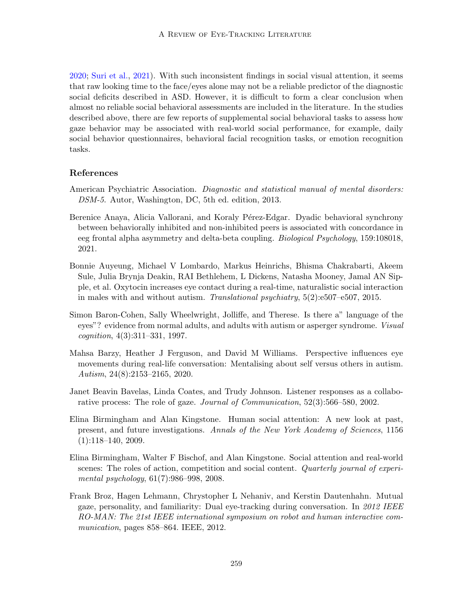[2020;](#page-19-1) [Suri et al.,](#page-21-12) [2021\)](#page-21-12). With such inconsistent findings in social visual attention, it seems that raw looking time to the face/eyes alone may not be a reliable predictor of the diagnostic social deficits described in ASD. However, it is difficult to form a clear conclusion when almost no reliable social behavioral assessments are included in the literature. In the studies described above, there are few reports of supplemental social behavioral tasks to assess how gaze behavior may be associated with real-world social performance, for example, daily social behavior questionnaires, behavioral facial recognition tasks, or emotion recognition tasks.

### References

- <span id="page-17-0"></span>American Psychiatric Association. *Diagnostic and statistical manual of mental disorders:* DSM-5. Autor, Washington, DC, 5th ed. edition, 2013.
- <span id="page-17-7"></span>Berenice Anaya, Alicia Vallorani, and Koraly Pérez-Edgar. Dyadic behavioral synchrony between behaviorally inhibited and non-inhibited peers is associated with concordance in eeg frontal alpha asymmetry and delta-beta coupling. Biological Psychology, 159:108018, 2021.
- <span id="page-17-4"></span>Bonnie Auyeung, Michael V Lombardo, Markus Heinrichs, Bhisma Chakrabarti, Akeem Sule, Julia Brynja Deakin, RAI Bethlehem, L Dickens, Natasha Mooney, Jamal AN Sipple, et al. Oxytocin increases eye contact during a real-time, naturalistic social interaction in males with and without autism. Translational psychiatry, 5(2):e507–e507, 2015.
- <span id="page-17-1"></span>Simon Baron-Cohen, Sally Wheelwright, Jolliffe, and Therese. Is there a" language of the eyes"? evidence from normal adults, and adults with autism or asperger syndrome. Visual cognition, 4(3):311–331, 1997.
- <span id="page-17-5"></span>Mahsa Barzy, Heather J Ferguson, and David M Williams. Perspective influences eye movements during real-life conversation: Mentalising about self versus others in autism. Autism, 24(8):2153–2165, 2020.
- <span id="page-17-8"></span>Janet Beavin Bavelas, Linda Coates, and Trudy Johnson. Listener responses as a collaborative process: The role of gaze. Journal of Communication, 52(3):566–580, 2002.
- <span id="page-17-2"></span>Elina Birmingham and Alan Kingstone. Human social attention: A new look at past, present, and future investigations. Annals of the New York Academy of Sciences, 1156 (1):118–140, 2009.
- <span id="page-17-3"></span>Elina Birmingham, Walter F Bischof, and Alan Kingstone. Social attention and real-world scenes: The roles of action, competition and social content. Quarterly journal of experimental psychology, 61(7):986–998, 2008.
- <span id="page-17-6"></span>Frank Broz, Hagen Lehmann, Chrystopher L Nehaniv, and Kerstin Dautenhahn. Mutual gaze, personality, and familiarity: Dual eye-tracking during conversation. In 2012 IEEE RO-MAN: The 21st IEEE international symposium on robot and human interactive communication, pages 858–864. IEEE, 2012.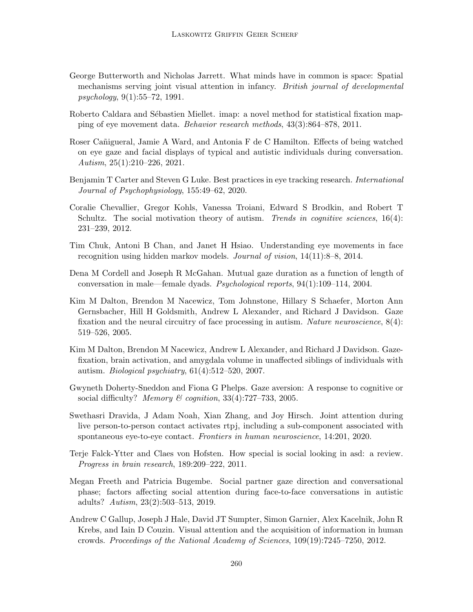- <span id="page-18-11"></span>George Butterworth and Nicholas Jarrett. What minds have in common is space: Spatial mechanisms serving joint visual attention in infancy. British journal of developmental psychology, 9(1):55–72, 1991.
- <span id="page-18-9"></span>Roberto Caldara and Sébastien Miellet. imap: a novel method for statistical fixation mapping of eye movement data. Behavior research methods, 43(3):864–878, 2011.
- <span id="page-18-5"></span>Roser Cañigueral, Jamie A Ward, and Antonia F de C Hamilton. Effects of being watched on eye gaze and facial displays of typical and autistic individuals during conversation. Autism, 25(1):210–226, 2021.
- <span id="page-18-0"></span>Benjamin T Carter and Steven G Luke. Best practices in eye tracking research. *International* Journal of Psychophysiology, 155:49–62, 2020.
- <span id="page-18-3"></span>Coralie Chevallier, Gregor Kohls, Vanessa Troiani, Edward S Brodkin, and Robert T Schultz. The social motivation theory of autism. Trends in cognitive sciences,  $16(4)$ : 231–239, 2012.
- <span id="page-18-10"></span>Tim Chuk, Antoni B Chan, and Janet H Hsiao. Understanding eye movements in face recognition using hidden markov models. Journal of vision, 14(11):8–8, 2014.
- <span id="page-18-7"></span>Dena M Cordell and Joseph R McGahan. Mutual gaze duration as a function of length of conversation in male—female dyads. Psychological reports, 94(1):109–114, 2004.
- <span id="page-18-2"></span>Kim M Dalton, Brendon M Nacewicz, Tom Johnstone, Hillary S Schaefer, Morton Ann Gernsbacher, Hill H Goldsmith, Andrew L Alexander, and Richard J Davidson. Gaze fixation and the neural circuitry of face processing in autism. Nature neuroscience, 8(4): 519–526, 2005.
- <span id="page-18-1"></span>Kim M Dalton, Brendon M Nacewicz, Andrew L Alexander, and Richard J Davidson. Gazefixation, brain activation, and amygdala volume in unaffected siblings of individuals with autism. *Biological psychiatry*,  $61(4):512-520$ ,  $2007$ .
- <span id="page-18-8"></span>Gwyneth Doherty-Sneddon and Fiona G Phelps. Gaze aversion: A response to cognitive or social difficulty? Memory  $\mathcal C$  cognition, 33(4):727–733, 2005.
- <span id="page-18-12"></span>Swethasri Dravida, J Adam Noah, Xian Zhang, and Joy Hirsch. Joint attention during live person-to-person contact activates rtpj, including a sub-component associated with spontaneous eye-to-eye contact. Frontiers in human neuroscience, 14:201, 2020.
- <span id="page-18-13"></span>Terje Falck-Ytter and Claes von Hofsten. How special is social looking in asd: a review. Progress in brain research, 189:209–222, 2011.
- <span id="page-18-6"></span>Megan Freeth and Patricia Bugembe. Social partner gaze direction and conversational phase; factors affecting social attention during face-to-face conversations in autistic adults? Autism, 23(2):503–513, 2019.
- <span id="page-18-4"></span>Andrew C Gallup, Joseph J Hale, David JT Sumpter, Simon Garnier, Alex Kacelnik, John R Krebs, and Iain D Couzin. Visual attention and the acquisition of information in human crowds. Proceedings of the National Academy of Sciences, 109(19):7245–7250, 2012.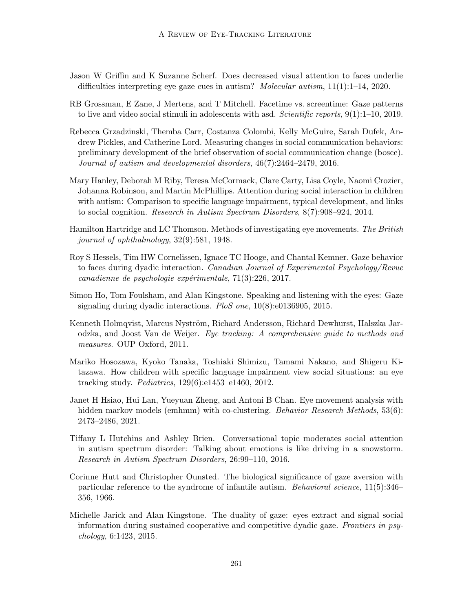- <span id="page-19-1"></span>Jason W Griffin and K Suzanne Scherf. Does decreased visual attention to faces underlie difficulties interpreting eye gaze cues in autism? *Molecular autism*,  $11(1):1-14$ , 2020.
- <span id="page-19-4"></span>RB Grossman, E Zane, J Mertens, and T Mitchell. Facetime vs. screentime: Gaze patterns to live and video social stimuli in adolescents with asd. Scientific reports,  $9(1):1-10$ , 2019.
- <span id="page-19-8"></span>Rebecca Grzadzinski, Themba Carr, Costanza Colombi, Kelly McGuire, Sarah Dufek, Andrew Pickles, and Catherine Lord. Measuring changes in social communication behaviors: preliminary development of the brief observation of social communication change (boscc). Journal of autism and developmental disorders, 46(7):2464–2479, 2016.
- <span id="page-19-6"></span>Mary Hanley, Deborah M Riby, Teresa McCormack, Clare Carty, Lisa Coyle, Naomi Crozier, Johanna Robinson, and Martin McPhillips. Attention during social interaction in children with autism: Comparison to specific language impairment, typical development, and links to social cognition. Research in Autism Spectrum Disorders, 8(7):908–924, 2014.
- <span id="page-19-2"></span>Hamilton Hartridge and LC Thomson. Methods of investigating eye movements. The British journal of ophthalmology, 32(9):581, 1948.
- <span id="page-19-10"></span>Roy S Hessels, Tim HW Cornelissen, Ignace TC Hooge, and Chantal Kemner. Gaze behavior to faces during dyadic interaction. Canadian Journal of Experimental Psychology/Revue canadienne de psychologie expérimentale,  $71(3):226$ ,  $2017$ .
- <span id="page-19-0"></span>Simon Ho, Tom Foulsham, and Alan Kingstone. Speaking and listening with the eyes: Gaze signaling during dyadic interactions. PloS one, 10(8):e0136905, 2015.
- <span id="page-19-11"></span>Kenneth Holmqvist, Marcus Nyström, Richard Andersson, Richard Dewhurst, Halszka Jarodzka, and Joost Van de Weijer. Eye tracking: A comprehensive guide to methods and measures. OUP Oxford, 2011.
- <span id="page-19-3"></span>Mariko Hosozawa, Kyoko Tanaka, Toshiaki Shimizu, Tamami Nakano, and Shigeru Kitazawa. How children with specific language impairment view social situations: an eye tracking study. Pediatrics, 129(6):e1453–e1460, 2012.
- <span id="page-19-12"></span>Janet H Hsiao, Hui Lan, Yueyuan Zheng, and Antoni B Chan. Eye movement analysis with hidden markov models (emhmm) with co-clustering. *Behavior Research Methods*, 53(6): 2473–2486, 2021.
- <span id="page-19-7"></span>Tiffany L Hutchins and Ashley Brien. Conversational topic moderates social attention in autism spectrum disorder: Talking about emotions is like driving in a snowstorm. Research in Autism Spectrum Disorders, 26:99–110, 2016.
- <span id="page-19-5"></span>Corinne Hutt and Christopher Ounsted. The biological significance of gaze aversion with particular reference to the syndrome of infantile autism. Behavioral science, 11(5):346– 356, 1966.
- <span id="page-19-9"></span>Michelle Jarick and Alan Kingstone. The duality of gaze: eyes extract and signal social information during sustained cooperative and competitive dyadic gaze. Frontiers in psychology, 6:1423, 2015.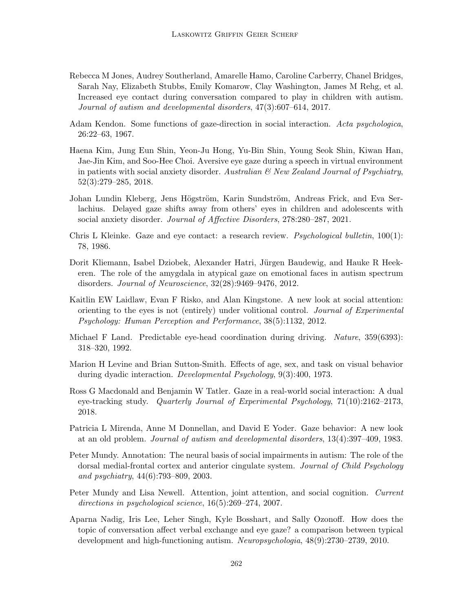- <span id="page-20-7"></span>Rebecca M Jones, Audrey Southerland, Amarelle Hamo, Caroline Carberry, Chanel Bridges, Sarah Nay, Elizabeth Stubbs, Emily Komarow, Clay Washington, James M Rehg, et al. Increased eye contact during conversation compared to play in children with autism. Journal of autism and developmental disorders, 47(3):607–614, 2017.
- <span id="page-20-9"></span>Adam Kendon. Some functions of gaze-direction in social interaction. Acta psychologica, 26:22–63, 1967.
- <span id="page-20-10"></span>Haena Kim, Jung Eun Shin, Yeon-Ju Hong, Yu-Bin Shin, Young Seok Shin, Kiwan Han, Jae-Jin Kim, and Soo-Hee Choi. Aversive eye gaze during a speech in virtual environment in patients with social anxiety disorder. Australian  $\mathcal{B}$  New Zealand Journal of Psychiatry, 52(3):279–285, 2018.
- <span id="page-20-11"></span>Johan Lundin Kleberg, Jens Högström, Karin Sundström, Andreas Frick, and Eva Serlachius. Delayed gaze shifts away from others' eyes in children and adolescents with social anxiety disorder. Journal of Affective Disorders, 278:280–287, 2021.
- <span id="page-20-0"></span>Chris L Kleinke. Gaze and eye contact: a research review. Psychological bulletin, 100(1): 78, 1986.
- <span id="page-20-6"></span>Dorit Kliemann, Isabel Dziobek, Alexander Hatri, Jürgen Baudewig, and Hauke R Heekeren. The role of the amygdala in atypical gaze on emotional faces in autism spectrum disorders. Journal of Neuroscience, 32(28):9469–9476, 2012.
- <span id="page-20-5"></span>Kaitlin EW Laidlaw, Evan F Risko, and Alan Kingstone. A new look at social attention: orienting to the eyes is not (entirely) under volitional control. Journal of Experimental Psychology: Human Perception and Performance, 38(5):1132, 2012.
- <span id="page-20-3"></span>Michael F Land. Predictable eye-head coordination during driving. *Nature*, 359(6393): 318–320, 1992.
- <span id="page-20-1"></span>Marion H Levine and Brian Sutton-Smith. Effects of age, sex, and task on visual behavior during dyadic interaction. Developmental Psychology, 9(3):400, 1973.
- <span id="page-20-4"></span>Ross G Macdonald and Benjamin W Tatler. Gaze in a real-world social interaction: A dual eye-tracking study. Quarterly Journal of Experimental Psychology, 71(10):2162–2173, 2018.
- <span id="page-20-2"></span>Patricia L Mirenda, Anne M Donnellan, and David E Yoder. Gaze behavior: A new look at an old problem. Journal of autism and developmental disorders, 13(4):397–409, 1983.
- <span id="page-20-12"></span>Peter Mundy. Annotation: The neural basis of social impairments in autism: The role of the dorsal medial-frontal cortex and anterior cingulate system. Journal of Child Psychology and psychiatry, 44(6):793–809, 2003.
- <span id="page-20-13"></span>Peter Mundy and Lisa Newell. Attention, joint attention, and social cognition. Current directions in psychological science, 16(5):269–274, 2007.
- <span id="page-20-8"></span>Aparna Nadig, Iris Lee, Leher Singh, Kyle Bosshart, and Sally Ozonoff. How does the topic of conversation affect verbal exchange and eye gaze? a comparison between typical development and high-functioning autism. Neuropsychologia, 48(9):2730–2739, 2010.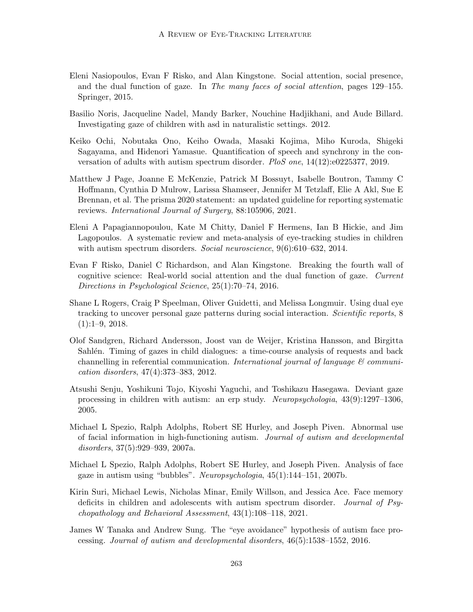- <span id="page-21-5"></span>Eleni Nasiopoulos, Evan F Risko, and Alan Kingstone. Social attention, social presence, and the dual function of gaze. In The many faces of social attention, pages 129–155. Springer, 2015.
- <span id="page-21-4"></span>Basilio Noris, Jacqueline Nadel, Mandy Barker, Nouchine Hadjikhani, and Aude Billard. Investigating gaze of children with asd in naturalistic settings. 2012.
- <span id="page-21-2"></span>Keiko Ochi, Nobutaka Ono, Keiho Owada, Masaki Kojima, Miho Kuroda, Shigeki Sagayama, and Hidenori Yamasue. Quantification of speech and synchrony in the conversation of adults with autism spectrum disorder. PloS one, 14(12):e0225377, 2019.
- <span id="page-21-10"></span>Matthew J Page, Joanne E McKenzie, Patrick M Bossuyt, Isabelle Boutron, Tammy C Hoffmann, Cynthia D Mulrow, Larissa Shamseer, Jennifer M Tetzlaff, Elie A Akl, Sue E Brennan, et al. The prisma 2020 statement: an updated guideline for reporting systematic reviews. International Journal of Surgery, 88:105906, 2021.
- <span id="page-21-0"></span>Eleni A Papagiannopoulou, Kate M Chitty, Daniel F Hermens, Ian B Hickie, and Jim Lagopoulos. A systematic review and meta-analysis of eye-tracking studies in children with autism spectrum disorders. Social neuroscience,  $9(6):610-632$ , 2014.
- <span id="page-21-3"></span>Evan F Risko, Daniel C Richardson, and Alan Kingstone. Breaking the fourth wall of cognitive science: Real-world social attention and the dual function of gaze. Current Directions in Psychological Science, 25(1):70–74, 2016.
- <span id="page-21-6"></span>Shane L Rogers, Craig P Speelman, Oliver Guidetti, and Melissa Longmuir. Using dual eye tracking to uncover personal gaze patterns during social interaction. Scientific reports, 8  $(1):1-9, 2018.$
- <span id="page-21-11"></span>Olof Sandgren, Richard Andersson, Joost van de Weijer, Kristina Hansson, and Birgitta Sahlén. Timing of gazes in child dialogues: a time-course analysis of requests and back channelling in referential communication. International journal of language  $\mathcal{C}$  communication disorders, 47(4):373–383, 2012.
- <span id="page-21-1"></span>Atsushi Senju, Yoshikuni Tojo, Kiyoshi Yaguchi, and Toshikazu Hasegawa. Deviant gaze processing in children with autism: an erp study. Neuropsychologia, 43(9):1297–1306, 2005.
- <span id="page-21-7"></span>Michael L Spezio, Ralph Adolphs, Robert SE Hurley, and Joseph Piven. Abnormal use of facial information in high-functioning autism. Journal of autism and developmental disorders, 37(5):929–939, 2007a.
- <span id="page-21-8"></span>Michael L Spezio, Ralph Adolphs, Robert SE Hurley, and Joseph Piven. Analysis of face gaze in autism using "bubbles". Neuropsychologia, 45(1):144–151, 2007b.
- <span id="page-21-12"></span>Kirin Suri, Michael Lewis, Nicholas Minar, Emily Willson, and Jessica Ace. Face memory deficits in children and adolescents with autism spectrum disorder. Journal of Psychopathology and Behavioral Assessment, 43(1):108–118, 2021.
- <span id="page-21-9"></span>James W Tanaka and Andrew Sung. The "eye avoidance" hypothesis of autism face processing. Journal of autism and developmental disorders, 46(5):1538–1552, 2016.